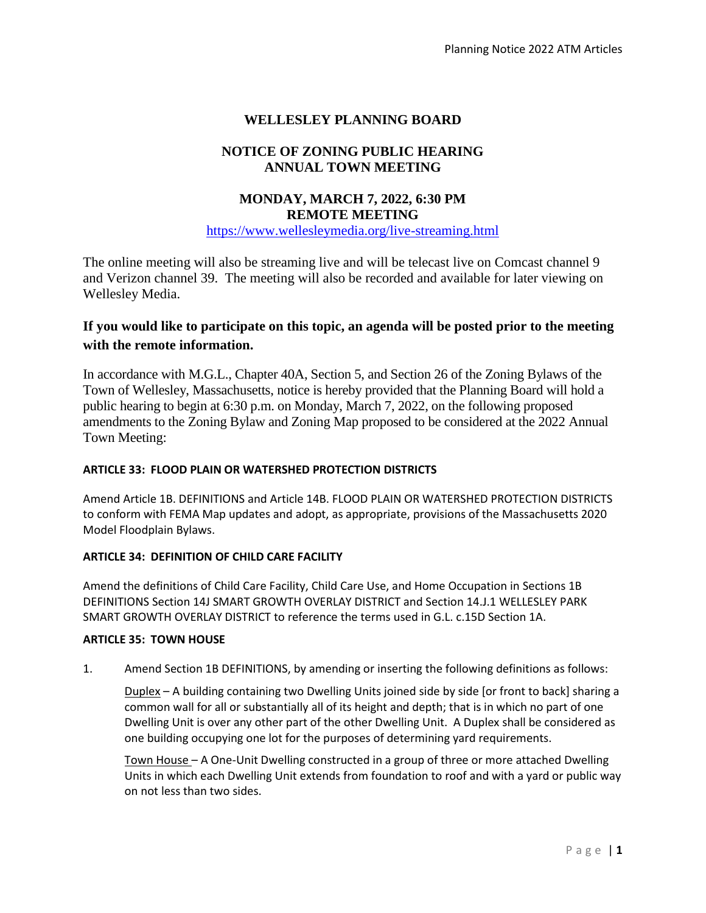## **WELLESLEY PLANNING BOARD**

## **NOTICE OF ZONING PUBLIC HEARING ANNUAL TOWN MEETING**

# **MONDAY, MARCH 7, 2022, 6:30 PM REMOTE MEETING**

[https://www.wellesleymedia.org/live-streaming.html](https://www.wellesleymedia.org/live-comm-stream.html)

The online meeting will also be streaming live and will be telecast live on Comcast channel 9 and Verizon channel 39. The meeting will also be recorded and available for later viewing on Wellesley Media.

# **If you would like to participate on this topic, an agenda will be posted prior to the meeting with the remote information.**

In accordance with M.G.L., Chapter 40A, Section 5, and Section 26 of the Zoning Bylaws of the Town of Wellesley, Massachusetts, notice is hereby provided that the Planning Board will hold a public hearing to begin at 6:30 p.m. on Monday, March 7, 2022, on the following proposed amendments to the Zoning Bylaw and Zoning Map proposed to be considered at the 2022 Annual Town Meeting:

## **ARTICLE 33: FLOOD PLAIN OR WATERSHED PROTECTION DISTRICTS**

Amend Article 1B. DEFINITIONS and Article 14B. FLOOD PLAIN OR WATERSHED PROTECTION DISTRICTS to conform with FEMA Map updates and adopt, as appropriate, provisions of the Massachusetts 2020 Model Floodplain Bylaws.

## **ARTICLE 34: DEFINITION OF CHILD CARE FACILITY**

Amend the definitions of Child Care Facility, Child Care Use, and Home Occupation in Sections 1B DEFINITIONS Section 14J SMART GROWTH OVERLAY DISTRICT and Section 14.J.1 WELLESLEY PARK SMART GROWTH OVERLAY DISTRICT to reference the terms used in G.L. c.15D Section 1A.

## **ARTICLE 35: TOWN HOUSE**

1. Amend Section 1B DEFINITIONS, by amending or inserting the following definitions as follows:

Duplex – A building containing two Dwelling Units joined side by side [or front to back] sharing a common wall for all or substantially all of its height and depth; that is in which no part of one Dwelling Unit is over any other part of the other Dwelling Unit. A Duplex shall be considered as one building occupying one lot for the purposes of determining yard requirements.

Town House – A One-Unit Dwelling constructed in a group of three or more attached Dwelling Units in which each Dwelling Unit extends from foundation to roof and with a yard or public way on not less than two sides.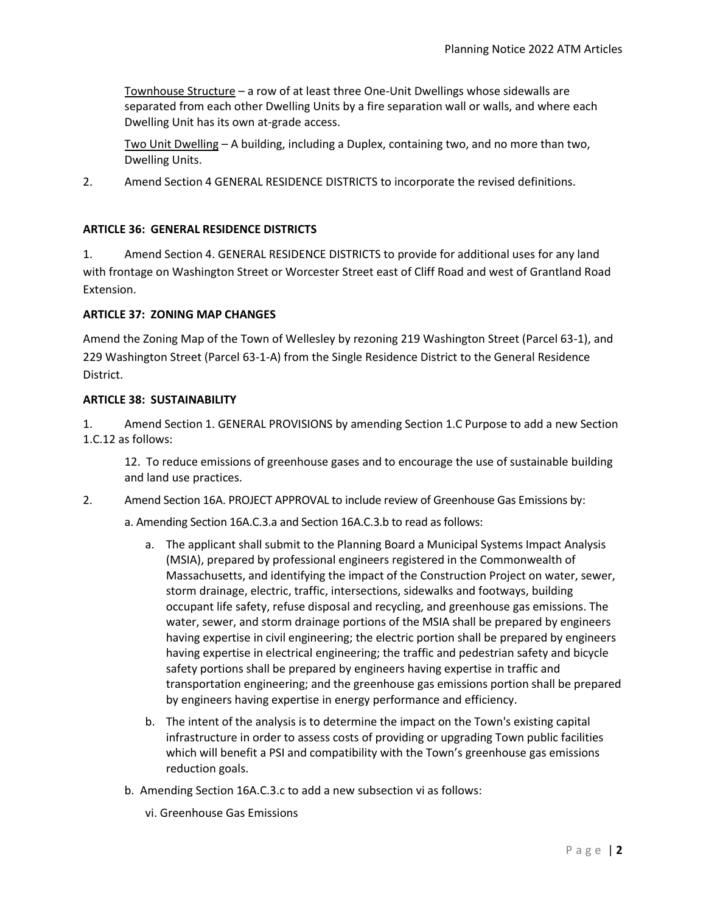Townhouse Structure – a row of at least three One-Unit Dwellings whose sidewalls are separated from each other Dwelling Units by a fire separation wall or walls, and where each Dwelling Unit has its own at-grade access.

Two Unit Dwelling – A building, including a Duplex, containing two, and no more than two, Dwelling Units.

2. Amend Section 4 GENERAL RESIDENCE DISTRICTS to incorporate the revised definitions.

### **ARTICLE 36: GENERAL RESIDENCE DISTRICTS**

1. Amend Section 4. GENERAL RESIDENCE DISTRICTS to provide for additional uses for any land with frontage on Washington Street or Worcester Street east of Cliff Road and west of Grantland Road Extension.

#### **ARTICLE 37: ZONING MAP CHANGES**

Amend the Zoning Map of the Town of Wellesley by rezoning 219 Washington Street (Parcel 63-1), and 229 Washington Street (Parcel 63-1-A) from the Single Residence District to the General Residence District.

#### **ARTICLE 38: SUSTAINABILITY**

1. Amend Section 1. GENERAL PROVISIONS by amending Section 1.C Purpose to add a new Section 1.C.12 as follows:

12. To reduce emissions of greenhouse gases and to encourage the use of sustainable building and land use practices.

2. Amend Section 16A. PROJECT APPROVAL to include review of Greenhouse Gas Emissions by:

a. Amending Section 16A.C.3.a and Section 16A.C.3.b to read as follows:

- a. The applicant shall submit to the Planning Board a Municipal Systems Impact Analysis (MSIA), prepared by professional engineers registered in the Commonwealth of Massachusetts, and identifying the impact of the Construction Project on water, sewer, storm drainage, electric, traffic, intersections, sidewalks and footways, building occupant life safety, refuse disposal and recycling, and greenhouse gas emissions. The water, sewer, and storm drainage portions of the MSIA shall be prepared by engineers having expertise in civil engineering; the electric portion shall be prepared by engineers having expertise in electrical engineering; the traffic and pedestrian safety and bicycle safety portions shall be prepared by engineers having expertise in traffic and transportation engineering; and the greenhouse gas emissions portion shall be prepared by engineers having expertise in energy performance and efficiency.
- b. The intent of the analysis is to determine the impact on the Town's existing capital infrastructure in order to assess costs of providing or upgrading Town public facilities which will benefit a PSI and compatibility with the Town's greenhouse gas emissions reduction goals.
- b. Amending Section 16A.C.3.c to add a new subsection vi as follows:
	- vi. Greenhouse Gas Emissions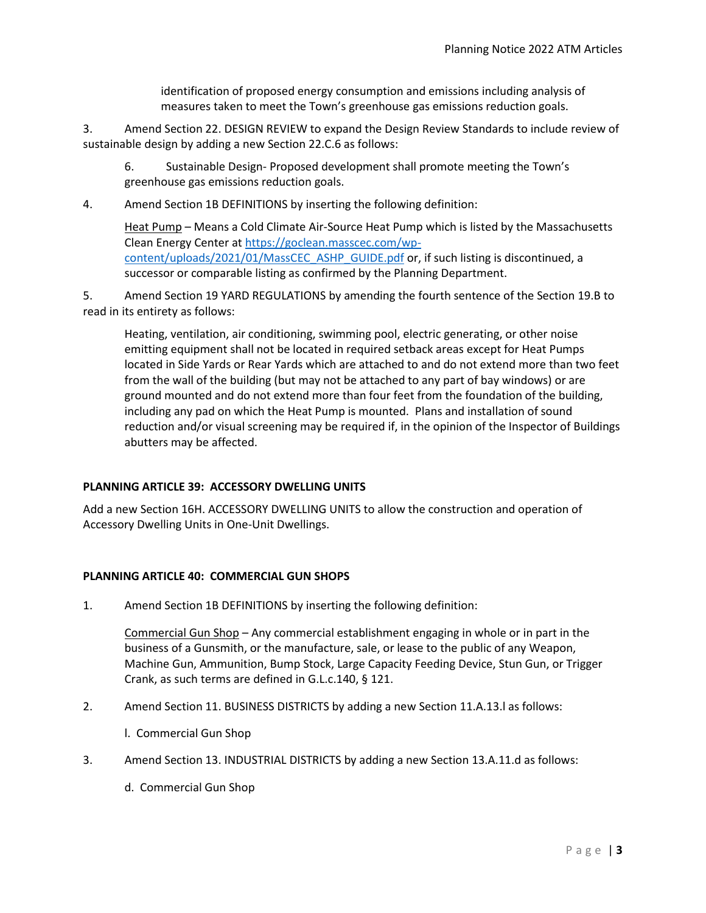identification of proposed energy consumption and emissions including analysis of measures taken to meet the Town's greenhouse gas emissions reduction goals.

3. Amend Section 22. DESIGN REVIEW to expand the Design Review Standards to include review of sustainable design by adding a new Section 22.C.6 as follows:

6. Sustainable Design- Proposed development shall promote meeting the Town's greenhouse gas emissions reduction goals.

4. Amend Section 1B DEFINITIONS by inserting the following definition:

Heat Pump – Means a Cold Climate Air-Source Heat Pump which is listed by the Massachusetts Clean Energy Center a[t https://goclean.masscec.com/wp](https://goclean.masscec.com/wp-content/uploads/2021/01/MassCEC_ASHP_GUIDE.pdf)[content/uploads/2021/01/MassCEC\\_ASHP\\_GUIDE.pdf](https://goclean.masscec.com/wp-content/uploads/2021/01/MassCEC_ASHP_GUIDE.pdf) or, if such listing is discontinued, a successor or comparable listing as confirmed by the Planning Department.

5. Amend Section 19 YARD REGULATIONS by amending the fourth sentence of the Section 19.B to read in its entirety as follows:

Heating, ventilation, air conditioning, swimming pool, electric generating, or other noise emitting equipment shall not be located in required setback areas except for Heat Pumps located in Side Yards or Rear Yards which are attached to and do not extend more than two feet from the wall of the building (but may not be attached to any part of bay windows) or are ground mounted and do not extend more than four feet from the foundation of the building, including any pad on which the Heat Pump is mounted. Plans and installation of sound reduction and/or visual screening may be required if, in the opinion of the Inspector of Buildings abutters may be affected.

#### **PLANNING ARTICLE 39: ACCESSORY DWELLING UNITS**

Add a new Section 16H. ACCESSORY DWELLING UNITS to allow the construction and operation of Accessory Dwelling Units in One-Unit Dwellings.

#### **PLANNING ARTICLE 40: COMMERCIAL GUN SHOPS**

1. Amend Section 1B DEFINITIONS by inserting the following definition:

Commercial Gun Shop – Any commercial establishment engaging in whole or in part in the business of a Gunsmith, or the manufacture, sale, or lease to the public of any Weapon, Machine Gun, Ammunition, Bump Stock, Large Capacity Feeding Device, Stun Gun, or Trigger Crank, as such terms are defined in G.L.c.140, § 121.

- 2. Amend Section 11. BUSINESS DISTRICTS by adding a new Section 11.A.13.l as follows:
	- l. Commercial Gun Shop
- 3. Amend Section 13. INDUSTRIAL DISTRICTS by adding a new Section 13.A.11.d as follows:
	- d. Commercial Gun Shop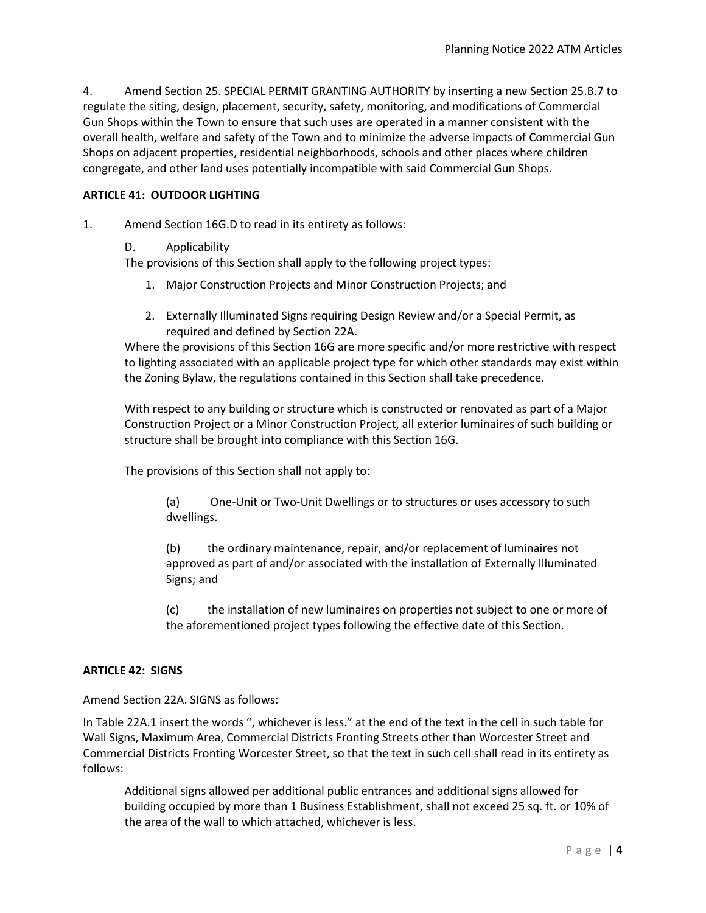4. Amend Section 25. SPECIAL PERMIT GRANTING AUTHORITY by inserting a new Section 25.B.7 to regulate the siting, design, placement, security, safety, monitoring, and modifications of Commercial Gun Shops within the Town to ensure that such uses are operated in a manner consistent with the overall health, welfare and safety of the Town and to minimize the adverse impacts of Commercial Gun Shops on adjacent properties, residential neighborhoods, schools and other places where children congregate, and other land uses potentially incompatible with said Commercial Gun Shops.

#### **ARTICLE 41: OUTDOOR LIGHTING**

- 1. Amend Section 16G.D to read in its entirety as follows:
	- D. Applicability

The provisions of this Section shall apply to the following project types:

- 1. Major Construction Projects and Minor Construction Projects; and
- 2. Externally Illuminated Signs requiring Design Review and/or a Special Permit, as required and defined by Section 22A.

Where the provisions of this Section 16G are more specific and/or more restrictive with respect to lighting associated with an applicable project type for which other standards may exist within the Zoning Bylaw, the regulations contained in this Section shall take precedence.

With respect to any building or structure which is constructed or renovated as part of a Major Construction Project or a Minor Construction Project, all exterior luminaires of such building or structure shall be brought into compliance with this Section 16G.

The provisions of this Section shall not apply to:

(a) One-Unit or Two-Unit Dwellings or to structures or uses accessory to such dwellings.

(b) the ordinary maintenance, repair, and/or replacement of luminaires not approved as part of and/or associated with the installation of Externally Illuminated Signs; and

(c) the installation of new luminaires on properties not subject to one or more of the aforementioned project types following the effective date of this Section.

#### **ARTICLE 42: SIGNS**

Amend Section 22A. SIGNS as follows:

In Table 22A.1 insert the words ", whichever is less." at the end of the text in the cell in such table for Wall Signs, Maximum Area, Commercial Districts Fronting Streets other than Worcester Street and Commercial Districts Fronting Worcester Street, so that the text in such cell shall read in its entirety as follows:

Additional signs allowed per additional public entrances and additional signs allowed for building occupied by more than 1 Business Establishment, shall not exceed 25 sq. ft. or 10% of the area of the wall to which attached, whichever is less.